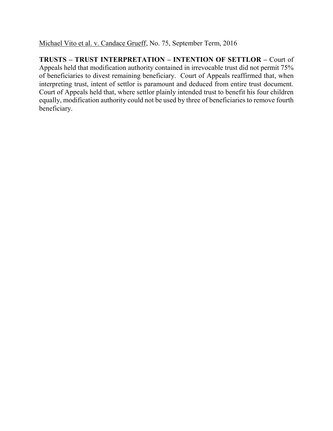Michael Vito et al. v. Candace Grueff, No. 75, September Term, 2016

**TRUSTS – TRUST INTERPRETATION – INTENTION OF SETTLOR –** Court of Appeals held that modification authority contained in irrevocable trust did not permit 75% of beneficiaries to divest remaining beneficiary. Court of Appeals reaffirmed that, when interpreting trust, intent of settlor is paramount and deduced from entire trust document. Court of Appeals held that, where settlor plainly intended trust to benefit his four children equally, modification authority could not be used by three of beneficiaries to remove fourth beneficiary.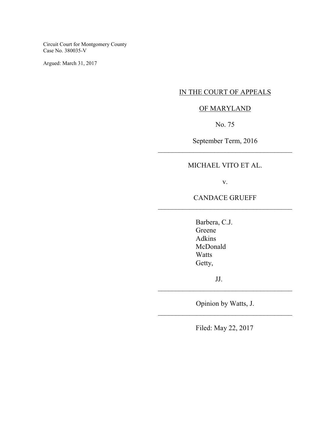Circuit Court for Montgomery County Case No. 380035-V

Argued: March 31, 2017

## IN THE COURT OF APPEALS

# OF MARYLAND

No. 75

September Term, 2016 \_\_\_\_\_\_\_\_\_\_\_\_\_\_\_\_\_\_\_\_\_\_\_\_\_\_\_\_\_\_\_\_\_\_\_\_\_\_

# MICHAEL VITO ET AL.

v.

CANDACE GRUEFF \_\_\_\_\_\_\_\_\_\_\_\_\_\_\_\_\_\_\_\_\_\_\_\_\_\_\_\_\_\_\_\_\_\_\_\_\_\_

> Barbera, C.J. Greene Adkins McDonald Watts Getty,

> > JJ.

Opinion by Watts, J. \_\_\_\_\_\_\_\_\_\_\_\_\_\_\_\_\_\_\_\_\_\_\_\_\_\_\_\_\_\_\_\_\_\_\_\_\_\_

\_\_\_\_\_\_\_\_\_\_\_\_\_\_\_\_\_\_\_\_\_\_\_\_\_\_\_\_\_\_\_\_\_\_\_\_\_\_

Filed: May 22, 2017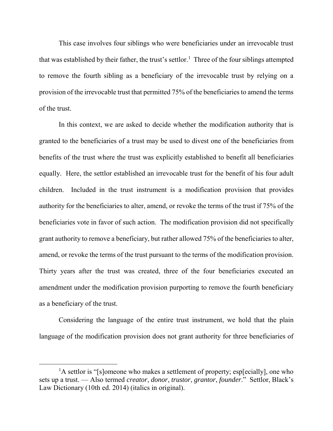This case involves four siblings who were beneficiaries under an irrevocable trust that was established by their father, the trust's settlor. 1 Three of the four siblings attempted to remove the fourth sibling as a beneficiary of the irrevocable trust by relying on a provision of the irrevocable trust that permitted 75% of the beneficiaries to amend the terms of the trust.

In this context, we are asked to decide whether the modification authority that is granted to the beneficiaries of a trust may be used to divest one of the beneficiaries from benefits of the trust where the trust was explicitly established to benefit all beneficiaries equally. Here, the settlor established an irrevocable trust for the benefit of his four adult children. Included in the trust instrument is a modification provision that provides authority for the beneficiaries to alter, amend, or revoke the terms of the trust if 75% of the beneficiaries vote in favor of such action. The modification provision did not specifically grant authority to remove a beneficiary, but rather allowed 75% of the beneficiaries to alter, amend, or revoke the terms of the trust pursuant to the terms of the modification provision. Thirty years after the trust was created, three of the four beneficiaries executed an amendment under the modification provision purporting to remove the fourth beneficiary as a beneficiary of the trust.

Considering the language of the entire trust instrument, we hold that the plain language of the modification provision does not grant authority for three beneficiaries of

 $\overline{a}$ 

<sup>&</sup>lt;sup>1</sup>A settlor is "[s]omeone who makes a settlement of property; esp[ecially], one who sets up a trust. — Also termed *creator*, *donor*, *trustor*, *grantor*, *founder*." Settlor, Black's Law Dictionary (10th ed. 2014) (italics in original).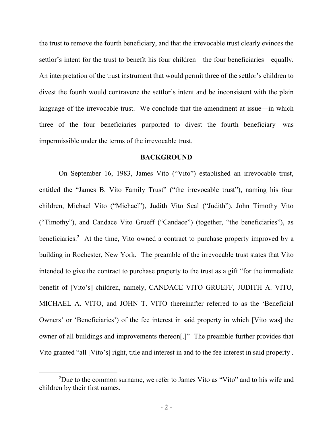the trust to remove the fourth beneficiary, and that the irrevocable trust clearly evinces the settlor's intent for the trust to benefit his four children—the four beneficiaries—equally. An interpretation of the trust instrument that would permit three of the settlor's children to divest the fourth would contravene the settlor's intent and be inconsistent with the plain language of the irrevocable trust. We conclude that the amendment at issue—in which three of the four beneficiaries purported to divest the fourth beneficiary—was impermissible under the terms of the irrevocable trust.

### **BACKGROUND**

 On September 16, 1983, James Vito ("Vito") established an irrevocable trust, entitled the "James B. Vito Family Trust" ("the irrevocable trust"), naming his four children, Michael Vito ("Michael"), Judith Vito Seal ("Judith"), John Timothy Vito ("Timothy"), and Candace Vito Grueff ("Candace") (together, "the beneficiaries"), as beneficiaries.<sup>2</sup> At the time, Vito owned a contract to purchase property improved by a building in Rochester, New York. The preamble of the irrevocable trust states that Vito intended to give the contract to purchase property to the trust as a gift "for the immediate benefit of [Vito's] children, namely, CANDACE VITO GRUEFF, JUDITH A. VITO, MICHAEL A. VITO, and JOHN T. VITO (hereinafter referred to as the 'Beneficial Owners' or 'Beneficiaries') of the fee interest in said property in which [Vito was] the owner of all buildings and improvements thereon[.]" The preamble further provides that Vito granted "all [Vito's] right, title and interest in and to the fee interest in said property .

 $\overline{a}$ 

<sup>2</sup>Due to the common surname, we refer to James Vito as "Vito" and to his wife and children by their first names.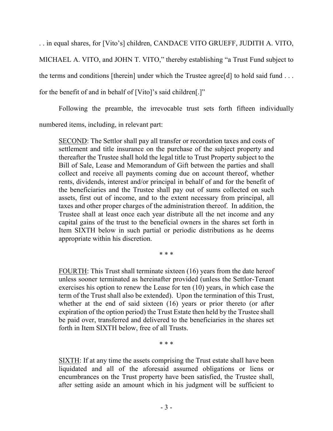. . in equal shares, for [Vito's] children, CANDACE VITO GRUEFF, JUDITH A. VITO,

MICHAEL A. VITO, and JOHN T. VITO," thereby establishing "a Trust Fund subject to the terms and conditions [therein] under which the Trustee agree[d] to hold said fund . . .

for the benefit of and in behalf of [Vito]'s said children[.]"

Following the preamble, the irrevocable trust sets forth fifteen individually

numbered items, including, in relevant part:

SECOND: The Settlor shall pay all transfer or recordation taxes and costs of settlement and title insurance on the purchase of the subject property and thereafter the Trustee shall hold the legal title to Trust Property subject to the Bill of Sale, Lease and Memorandum of Gift between the parties and shall collect and receive all payments coming due on account thereof, whether rents, dividends, interest and/or principal in behalf of and for the benefit of the beneficiaries and the Trustee shall pay out of sums collected on such assets, first out of income, and to the extent necessary from principal, all taxes and other proper charges of the administration thereof. In addition, the Trustee shall at least once each year distribute all the net income and any capital gains of the trust to the beneficial owners in the shares set forth in Item SIXTH below in such partial or periodic distributions as he deems appropriate within his discretion.

\* \* \*

FOURTH: This Trust shall terminate sixteen (16) years from the date hereof unless sooner terminated as hereinafter provided (unless the Settlor-Tenant exercises his option to renew the Lease for ten (10) years, in which case the term of the Trust shall also be extended). Upon the termination of this Trust, whether at the end of said sixteen (16) years or prior thereto (or after expiration of the option period) the Trust Estate then held by the Trustee shall be paid over, transferred and delivered to the beneficiaries in the shares set forth in Item SIXTH below, free of all Trusts.

\* \* \*

SIXTH: If at any time the assets comprising the Trust estate shall have been liquidated and all of the aforesaid assumed obligations or liens or encumbrances on the Trust property have been satisfied, the Trustee shall, after setting aside an amount which in his judgment will be sufficient to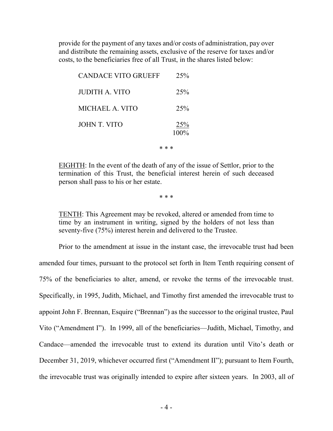provide for the payment of any taxes and/or costs of administration, pay over and distribute the remaining assets, exclusive of the reserve for taxes and/or costs, to the beneficiaries free of all Trust, in the shares listed below:

| <b>CANDACE VITO GRUEFF</b> | 25%            |
|----------------------------|----------------|
| JUDITH A. VITO             | 25%            |
| MICHAEL A. VITO            | 25%            |
| <b>JOHN T. VITO</b>        | 25%<br>$100\%$ |

\* \* \*

EIGHTH: In the event of the death of any of the issue of Settlor, prior to the termination of this Trust, the beneficial interest herein of such deceased person shall pass to his or her estate.

\* \* \*

TENTH: This Agreement may be revoked, altered or amended from time to time by an instrument in writing, signed by the holders of not less than seventy-five (75%) interest herein and delivered to the Trustee.

Prior to the amendment at issue in the instant case, the irrevocable trust had been amended four times, pursuant to the protocol set forth in Item Tenth requiring consent of 75% of the beneficiaries to alter, amend, or revoke the terms of the irrevocable trust. Specifically, in 1995, Judith, Michael, and Timothy first amended the irrevocable trust to appoint John F. Brennan, Esquire ("Brennan") as the successor to the original trustee, Paul Vito ("Amendment I"). In 1999, all of the beneficiaries—Judith, Michael, Timothy, and Candace—amended the irrevocable trust to extend its duration until Vito's death or December 31, 2019, whichever occurred first ("Amendment II"); pursuant to Item Fourth, the irrevocable trust was originally intended to expire after sixteen years. In 2003, all of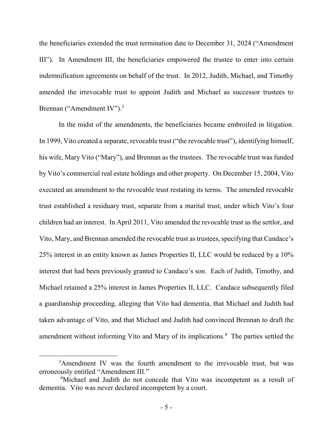the beneficiaries extended the trust termination date to December 31, 2024 ("Amendment III"). In Amendment III, the beneficiaries empowered the trustee to enter into certain indemnification agreements on behalf of the trust. In 2012, Judith, Michael, and Timothy amended the irrevocable trust to appoint Judith and Michael as successor trustees to Brennan ("Amendment IV").<sup>3</sup>

In the midst of the amendments, the beneficiaries became embroiled in litigation. In 1999, Vito created a separate, revocable trust ("the revocable trust"), identifying himself, his wife, Mary Vito ("Mary"), and Brennan as the trustees. The revocable trust was funded by Vito's commercial real estate holdings and other property. On December 15, 2004, Vito executed an amendment to the revocable trust restating its terms. The amended revocable trust established a residuary trust, separate from a marital trust, under which Vito's four children had an interest. In April 2011, Vito amended the revocable trust as the settlor, and Vito, Mary, and Brennan amended the revocable trust as trustees, specifying that Candace's 25% interest in an entity known as James Properties II, LLC would be reduced by a 10% interest that had been previously granted to Candace's son. Each of Judith, Timothy, and Michael retained a 25% interest in James Properties II, LLC. Candace subsequently filed a guardianship proceeding, alleging that Vito had dementia, that Michael and Judith had taken advantage of Vito, and that Michael and Judith had convinced Brennan to draft the amendment without informing Vito and Mary of its implications.<sup>4</sup> The parties settled the

 $\overline{a}$ 

<sup>&</sup>lt;sup>3</sup>Amendment IV was the fourth amendment to the irrevocable trust, but was erroneously entitled "Amendment III."

<sup>4</sup>Michael and Judith do not concede that Vito was incompetent as a result of dementia. Vito was never declared incompetent by a court.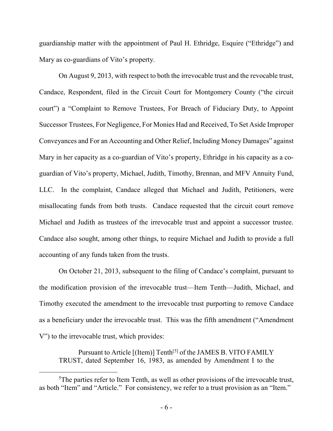guardianship matter with the appointment of Paul H. Ethridge, Esquire ("Ethridge") and Mary as co-guardians of Vito's property.

On August 9, 2013, with respect to both the irrevocable trust and the revocable trust, Candace, Respondent, filed in the Circuit Court for Montgomery County ("the circuit court") a "Complaint to Remove Trustees, For Breach of Fiduciary Duty, to Appoint Successor Trustees, For Negligence, For Monies Had and Received, To Set Aside Improper Conveyances and For an Accounting and Other Relief, Including Money Damages" against Mary in her capacity as a co-guardian of Vito's property, Ethridge in his capacity as a coguardian of Vito's property, Michael, Judith, Timothy, Brennan, and MFV Annuity Fund, LLC.In the complaint, Candace alleged that Michael and Judith, Petitioners, were misallocating funds from both trusts. Candace requested that the circuit court remove Michael and Judith as trustees of the irrevocable trust and appoint a successor trustee. Candace also sought, among other things, to require Michael and Judith to provide a full accounting of any funds taken from the trusts.

On October 21, 2013, subsequent to the filing of Candace's complaint, pursuant to the modification provision of the irrevocable trust—Item Tenth—Judith, Michael, and Timothy executed the amendment to the irrevocable trust purporting to remove Candace as a beneficiary under the irrevocable trust.This was the fifth amendment ("Amendment V") to the irrevocable trust, which provides:

Pursuant to Article [(Item)] Tenth<sup>[5]</sup> of the JAMES B. VITO FAMILY TRUST, dated September 16, 1983, as amended by Amendment I to the

 $\overline{a}$ 

<sup>&</sup>lt;sup>5</sup>The parties refer to Item Tenth, as well as other provisions of the irrevocable trust, as both "Item" and "Article." For consistency, we refer to a trust provision as an "Item."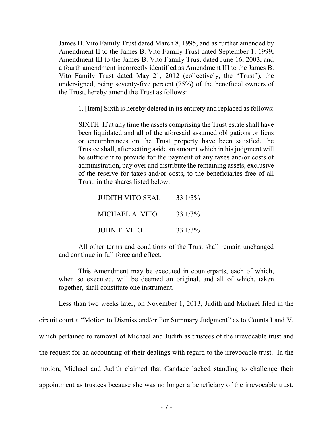James B. Vito Family Trust dated March 8, 1995, and as further amended by Amendment II to the James B. Vito Family Trust dated September 1, 1999, Amendment III to the James B. Vito Family Trust dated June 16, 2003, and a fourth amendment incorrectly identified as Amendment III to the James B. Vito Family Trust dated May 21, 2012 (collectively, the "Trust"), the undersigned, being seventy-five percent (75%) of the beneficial owners of the Trust, hereby amend the Trust as follows:

1. [Item] Sixth is hereby deleted in its entirety and replaced as follows:

SIXTH: If at any time the assets comprising the Trust estate shall have been liquidated and all of the aforesaid assumed obligations or liens or encumbrances on the Trust property have been satisfied, the Trustee shall, after setting aside an amount which in his judgment will be sufficient to provide for the payment of any taxes and/or costs of administration, pay over and distribute the remaining assets, exclusive of the reserve for taxes and/or costs, to the beneficiaries free of all Trust, in the shares listed below:

| <b>JUDITH VITO SEAL</b> | 33 1/3% |
|-------------------------|---------|
| MICHAEL A. VITO         | 33 1/3% |
| JOHN T. VITO            | 33 1/3% |

All other terms and conditions of the Trust shall remain unchanged and continue in full force and effect.

This Amendment may be executed in counterparts, each of which, when so executed, will be deemed an original, and all of which, taken together, shall constitute one instrument.

Less than two weeks later, on November 1, 2013, Judith and Michael filed in the circuit court a "Motion to Dismiss and/or For Summary Judgment" as to Counts I and V, which pertained to removal of Michael and Judith as trustees of the irrevocable trust and the request for an accounting of their dealings with regard to the irrevocable trust. In the motion, Michael and Judith claimed that Candace lacked standing to challenge their appointment as trustees because she was no longer a beneficiary of the irrevocable trust,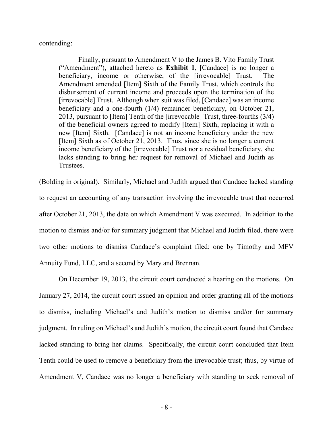contending:

Finally, pursuant to Amendment V to the James B. Vito Family Trust ("Amendment"), attached hereto as **Exhibit 1**, [Candace] is no longer a beneficiary, income or otherwise, of the [irrevocable] Trust. The Amendment amended [Item] Sixth of the Family Trust, which controls the disbursement of current income and proceeds upon the termination of the [irrevocable] Trust. Although when suit was filed, [Candace] was an income beneficiary and a one-fourth (1/4) remainder beneficiary, on October 21, 2013, pursuant to [Item] Tenth of the [irrevocable] Trust, three-fourths (3/4) of the beneficial owners agreed to modify [Item] Sixth, replacing it with a new [Item] Sixth. [Candace] is not an income beneficiary under the new [Item] Sixth as of October 21, 2013. Thus, since she is no longer a current income beneficiary of the [irrevocable] Trust nor a residual beneficiary, she lacks standing to bring her request for removal of Michael and Judith as Trustees.

(Bolding in original). Similarly, Michael and Judith argued that Candace lacked standing to request an accounting of any transaction involving the irrevocable trust that occurred after October 21, 2013, the date on which Amendment V was executed. In addition to the motion to dismiss and/or for summary judgment that Michael and Judith filed, there were two other motions to dismiss Candace's complaint filed: one by Timothy and MFV Annuity Fund, LLC, and a second by Mary and Brennan.

On December 19, 2013, the circuit court conducted a hearing on the motions. On January 27, 2014, the circuit court issued an opinion and order granting all of the motions to dismiss, including Michael's and Judith's motion to dismiss and/or for summary judgment. In ruling on Michael's and Judith's motion, the circuit court found that Candace lacked standing to bring her claims. Specifically, the circuit court concluded that Item Tenth could be used to remove a beneficiary from the irrevocable trust; thus, by virtue of Amendment V, Candace was no longer a beneficiary with standing to seek removal of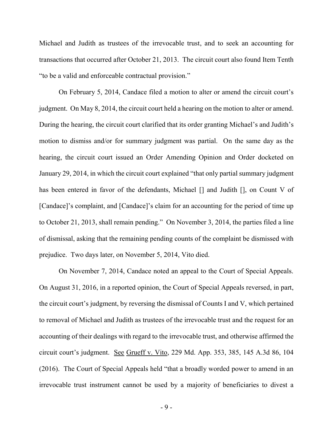Michael and Judith as trustees of the irrevocable trust, and to seek an accounting for transactions that occurred after October 21, 2013. The circuit court also found Item Tenth "to be a valid and enforceable contractual provision."

On February 5, 2014, Candace filed a motion to alter or amend the circuit court's judgment. On May 8, 2014, the circuit court held a hearing on the motion to alter or amend. During the hearing, the circuit court clarified that its order granting Michael's and Judith's motion to dismiss and/or for summary judgment was partial. On the same day as the hearing, the circuit court issued an Order Amending Opinion and Order docketed on January 29, 2014, in which the circuit court explained "that only partial summary judgment has been entered in favor of the defendants, Michael [] and Judith [], on Count V of [Candace]'s complaint, and [Candace]'s claim for an accounting for the period of time up to October 21, 2013, shall remain pending." On November 3, 2014, the parties filed a line of dismissal, asking that the remaining pending counts of the complaint be dismissed with prejudice. Two days later, on November 5, 2014, Vito died.

On November 7, 2014, Candace noted an appeal to the Court of Special Appeals. On August 31, 2016, in a reported opinion, the Court of Special Appeals reversed, in part, the circuit court's judgment, by reversing the dismissal of Counts I and V, which pertained to removal of Michael and Judith as trustees of the irrevocable trust and the request for an accounting of their dealings with regard to the irrevocable trust, and otherwise affirmed the circuit court's judgment. See Grueff v. Vito, 229 Md. App. 353, 385, 145 A.3d 86, 104 (2016). The Court of Special Appeals held "that a broadly worded power to amend in an irrevocable trust instrument cannot be used by a majority of beneficiaries to divest a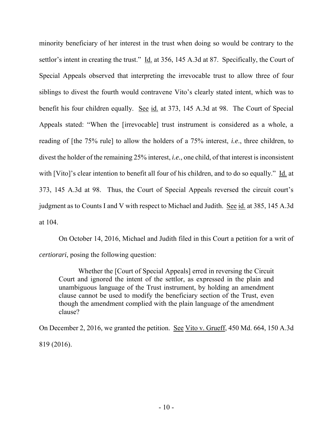minority beneficiary of her interest in the trust when doing so would be contrary to the settlor's intent in creating the trust." Id. at 356, 145 A.3d at 87. Specifically, the Court of Special Appeals observed that interpreting the irrevocable trust to allow three of four siblings to divest the fourth would contravene Vito's clearly stated intent, which was to benefit his four children equally. See id. at 373, 145 A.3d at 98. The Court of Special Appeals stated: "When the [irrevocable] trust instrument is considered as a whole, a reading of [the 75% rule] to allow the holders of a 75% interest, *i.e*., three children, to divest the holder of the remaining 25% interest, *i.e.*, one child, of that interest is inconsistent with [Vito]'s clear intention to benefit all four of his children, and to do so equally." Id. at 373, 145 A.3d at 98. Thus, the Court of Special Appeals reversed the circuit court's judgment as to Counts I and V with respect to Michael and Judith. See id. at 385, 145 A.3d at 104.

On October 14, 2016, Michael and Judith filed in this Court a petition for a writ of *certiorari*, posing the following question:

Whether the [Court of Special Appeals] erred in reversing the Circuit Court and ignored the intent of the settlor, as expressed in the plain and unambiguous language of the Trust instrument, by holding an amendment clause cannot be used to modify the beneficiary section of the Trust, even though the amendment complied with the plain language of the amendment clause?

On December 2, 2016, we granted the petition. See Vito v. Grueff, 450 Md. 664, 150 A.3d 819 (2016).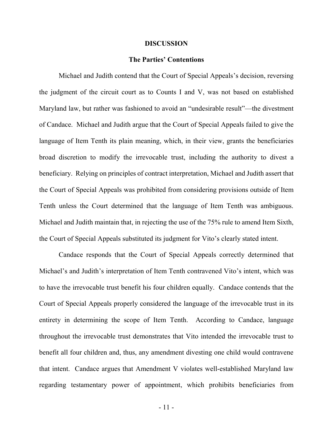#### **DISCUSSION**

#### **The Parties' Contentions**

Michael and Judith contend that the Court of Special Appeals's decision, reversing the judgment of the circuit court as to Counts I and V, was not based on established Maryland law, but rather was fashioned to avoid an "undesirable result"—the divestment of Candace. Michael and Judith argue that the Court of Special Appeals failed to give the language of Item Tenth its plain meaning, which, in their view, grants the beneficiaries broad discretion to modify the irrevocable trust, including the authority to divest a beneficiary. Relying on principles of contract interpretation, Michael and Judith assert that the Court of Special Appeals was prohibited from considering provisions outside of Item Tenth unless the Court determined that the language of Item Tenth was ambiguous. Michael and Judith maintain that, in rejecting the use of the 75% rule to amend Item Sixth, the Court of Special Appeals substituted its judgment for Vito's clearly stated intent.

Candace responds that the Court of Special Appeals correctly determined that Michael's and Judith's interpretation of Item Tenth contravened Vito's intent, which was to have the irrevocable trust benefit his four children equally.Candace contends that the Court of Special Appeals properly considered the language of the irrevocable trust in its entirety in determining the scope of Item Tenth. According to Candace, language throughout the irrevocable trust demonstrates that Vito intended the irrevocable trust to benefit all four children and, thus, any amendment divesting one child would contravene that intent.Candace argues that Amendment V violates well-established Maryland law regarding testamentary power of appointment, which prohibits beneficiaries from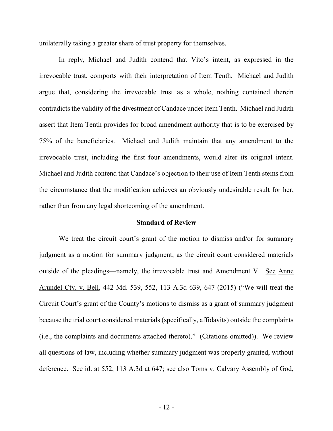unilaterally taking a greater share of trust property for themselves.

In reply, Michael and Judith contend that Vito's intent, as expressed in the irrevocable trust, comports with their interpretation of Item Tenth.Michael and Judith argue that, considering the irrevocable trust as a whole, nothing contained therein contradicts the validity of the divestment of Candace under Item Tenth. Michael and Judith assert that Item Tenth provides for broad amendment authority that is to be exercised by 75% of the beneficiaries.Michael and Judith maintain that any amendment to the irrevocable trust, including the first four amendments, would alter its original intent. Michael and Judith contend that Candace's objection to their use of Item Tenth stems from the circumstance that the modification achieves an obviously undesirable result for her, rather than from any legal shortcoming of the amendment.

### **Standard of Review**

We treat the circuit court's grant of the motion to dismiss and/or for summary judgment as a motion for summary judgment, as the circuit court considered materials outside of the pleadings—namely, the irrevocable trust and Amendment V. See Anne Arundel Cty. v. Bell, 442 Md. 539, 552, 113 A.3d 639, 647 (2015) ("We will treat the Circuit Court's grant of the County's motions to dismiss as a grant of summary judgment because the trial court considered materials (specifically, affidavits) outside the complaints (i.e., the complaints and documents attached thereto)." (Citations omitted)). We review all questions of law, including whether summary judgment was properly granted, without deference. See id. at 552, 113 A.3d at 647; see also Toms v. Calvary Assembly of God,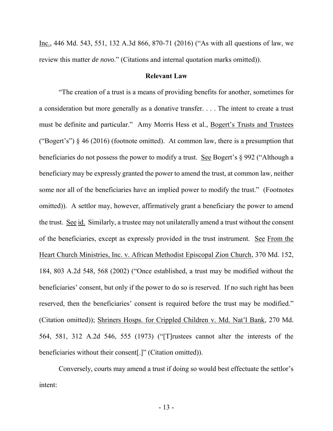Inc., 446 Md. 543, 551, 132 A.3d 866, 870-71 (2016) ("As with all questions of law, we review this matter *de novo*." (Citations and internal quotation marks omitted)).

## **Relevant Law**

"The creation of a trust is a means of providing benefits for another, sometimes for a consideration but more generally as a donative transfer. . . . The intent to create a trust must be definite and particular." Amy Morris Hess et al., Bogert's Trusts and Trustees ("Bogert's")  $\S$  46 (2016) (footnote omitted). At common law, there is a presumption that beneficiaries do not possess the power to modify a trust. See Bogert's § 992 ("Although a beneficiary may be expressly granted the power to amend the trust, at common law, neither some nor all of the beneficiaries have an implied power to modify the trust." (Footnotes omitted)). A settlor may, however, affirmatively grant a beneficiary the power to amend the trust. See id. Similarly, a trustee may not unilaterally amend a trust without the consent of the beneficiaries, except as expressly provided in the trust instrument. See From the Heart Church Ministries, Inc. v. African Methodist Episcopal Zion Church, 370 Md. 152, 184, 803 A.2d 548, 568 (2002) ("Once established, a trust may be modified without the beneficiaries' consent, but only if the power to do so is reserved. If no such right has been reserved, then the beneficiaries' consent is required before the trust may be modified." (Citation omitted)); Shriners Hosps. for Crippled Children v. Md. Nat'l Bank, 270 Md. 564, 581, 312 A.2d 546, 555 (1973) ("[T]rustees cannot alter the interests of the beneficiaries without their consent[.]" (Citation omitted)).

Conversely, courts may amend a trust if doing so would best effectuate the settlor's intent: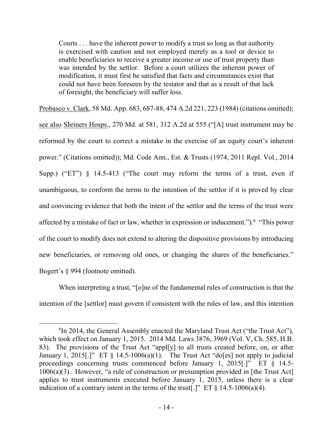Courts . . . have the inherent power to modify a trust so long as that authority is exercised with caution and not employed merely as a tool or device to enable beneficiaries to receive a greater income or use of trust property than was intended by the settlor. Before a court utilizes the inherent power of modification, it must first be satisfied that facts and circumstances exist that could not have been foreseen by the testator and that as a result of that lack of foresight, the beneficiary will suffer loss.

Probasco v. Clark, 58 Md. App. 683, 687-88, 474 A.2d 221, 223 (1984) (citations omitted); see also Shriners Hosps., 270 Md. at 581, 312 A.2d at 555 ("[A] trust instrument may be reformed by the court to correct a mistake in the exercise of an equity court's inherent power." (Citations omitted)); Md. Code Ann., Est. & Trusts (1974, 2011 Repl. Vol., 2014 Supp.) ("ET") § 14.5-413 ("The court may reform the terms of a trust, even if unambiguous, to conform the terms to the intention of the settlor if it is proved by clear and convincing evidence that both the intent of the settlor and the terms of the trust were affected by a mistake of fact or law, whether in expression or inducement."). <sup>6</sup> "This power of the court to modify does not extend to altering the dispositive provisions by introducing new beneficiaries, or removing old ones, or changing the shares of the beneficiaries." Bogert's § 994 (footnote omitted).

When interpreting a trust, "[o]ne of the fundamental rules of construction is that the intention of the [settlor] must govern if consistent with the rules of law, and this intention

 $\overline{a}$ <sup>6</sup>In 2014, the General Assembly enacted the Maryland Trust Act ("the Trust Act"), which took effect on January 1, 2015. 2014 Md. Laws 3876, 3969 (Vol. V, Ch. 585, H.B. 83). The provisions of the Trust Act "appl[y] to all trusts created before, on, or after January 1, 2015.]" ET § 14.5-1006(a)(1). The Trust Act "do[es] not apply to judicial proceedings concerning trusts commenced before January 1, 2015[.]" ET § 14.5- 1006(a)(3). However, "a rule of construction or presumption provided in [the Trust Act] applies to trust instruments executed before January 1, 2015, unless there is a clear indication of a contrary intent in the terms of the trust[.]" ET  $\S$  14.5-1006(a)(4).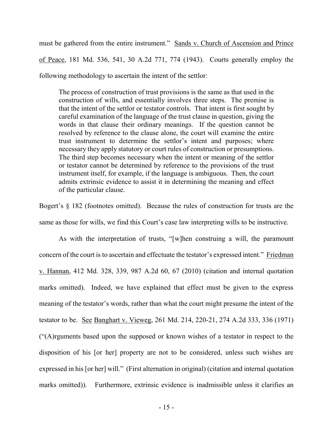must be gathered from the entire instrument." Sands v. Church of Ascension and Prince of Peace, 181 Md. 536, 541, 30 A.2d 771, 774 (1943). Courts generally employ the following methodology to ascertain the intent of the settlor:

The process of construction of trust provisions is the same as that used in the construction of wills, and essentially involves three steps. The premise is that the intent of the settlor or testator controls. That intent is first sought by careful examination of the language of the trust clause in question, giving the words in that clause their ordinary meanings. If the question cannot be resolved by reference to the clause alone, the court will examine the entire trust instrument to determine the settlor's intent and purposes; where necessary they apply statutory or court rules of construction or presumptions. The third step becomes necessary when the intent or meaning of the settlor or testator cannot be determined by reference to the provisions of the trust instrument itself, for example, if the language is ambiguous. Then, the court admits extrinsic evidence to assist it in determining the meaning and effect of the particular clause.

Bogert's § 182 (footnotes omitted). Because the rules of construction for trusts are the same as those for wills, we find this Court's case law interpreting wills to be instructive.

 As with the interpretation of trusts, "[w]hen construing a will, the paramount concern of the court is to ascertain and effectuate the testator's expressed intent." Friedman v. Hannan, 412 Md. 328, 339, 987 A.2d 60, 67 (2010) (citation and internal quotation marks omitted). Indeed, we have explained that effect must be given to the express meaning of the testator's words, rather than what the court might presume the intent of the testator to be. See Banghart v. Vieweg, 261 Md. 214, 220-21, 274 A.2d 333, 336 (1971) ("(A)rguments based upon the supposed or known wishes of a testator in respect to the disposition of his [or her] property are not to be considered, unless such wishes are expressed in his [or her] will." (First alternation in original) (citation and internal quotation marks omitted)). Furthermore, extrinsic evidence is inadmissible unless it clarifies an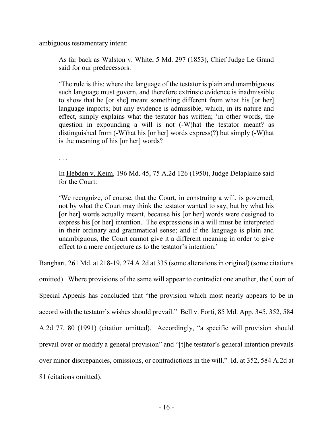ambiguous testamentary intent:

As far back as Walston v. White, 5 Md. 297 (1853), Chief Judge Le Grand said for our predecessors:

'The rule is this: where the language of the testator is plain and unambiguous such language must govern, and therefore extrinsic evidence is inadmissible to show that he [or she] meant something different from what his [or her] language imports; but any evidence is admissible, which, in its nature and effect, simply explains what the testator has written; 'in other words, the question in expounding a will is not (-W)hat the testator meant? as distinguished from (-W)hat his [or her] words express(?) but simply (-W)hat is the meaning of his [or her] words?

. . .

In Hebden v. Keim, 196 Md. 45, 75 A.2d 126 (1950), Judge Delaplaine said for the Court:

'We recognize, of course, that the Court, in construing a will, is governed, not by what the Court may think the testator wanted to say, but by what his [or her] words actually meant, because his [or her] words were designed to express his [or her] intention. The expressions in a will must be interpreted in their ordinary and grammatical sense; and if the language is plain and unambiguous, the Court cannot give it a different meaning in order to give effect to a mere conjecture as to the testator's intention.'

Banghart, 261 Md. at 218-19, 274 A.2d at 335 (some alterations in original) (some citations

omitted). Where provisions of the same will appear to contradict one another, the Court of Special Appeals has concluded that "the provision which most nearly appears to be in accord with the testator's wishes should prevail." Bell v. Forti, 85 Md. App. 345, 352, 584 A.2d 77, 80 (1991) (citation omitted). Accordingly, "a specific will provision should prevail over or modify a general provision" and "[t]he testator's general intention prevails over minor discrepancies, omissions, or contradictions in the will." Id. at 352, 584 A.2d at 81 (citations omitted).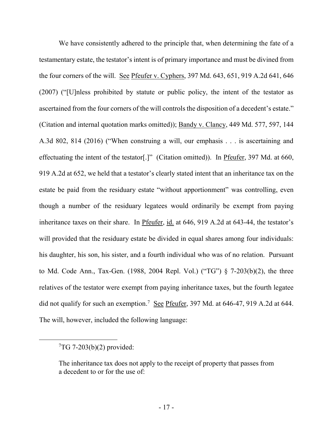We have consistently adhered to the principle that, when determining the fate of a testamentary estate, the testator's intent is of primary importance and must be divined from the four corners of the will. See Pfeufer v. Cyphers, 397 Md. 643, 651, 919 A.2d 641, 646 (2007) ("[U]nless prohibited by statute or public policy, the intent of the testator as ascertained from the four corners of the will controls the disposition of a decedent's estate." (Citation and internal quotation marks omitted)); Bandy v. Clancy, 449 Md. 577, 597, 144 A.3d 802, 814 (2016) ("When construing a will, our emphasis . . . is ascertaining and effectuating the intent of the testator[.]" (Citation omitted)). In Pfeufer, 397 Md. at 660, 919 A.2d at 652, we held that a testator's clearly stated intent that an inheritance tax on the estate be paid from the residuary estate "without apportionment" was controlling, even though a number of the residuary legatees would ordinarily be exempt from paying inheritance taxes on their share. In Pfeufer, id. at 646, 919 A.2d at 643-44, the testator's will provided that the residuary estate be divided in equal shares among four individuals: his daughter, his son, his sister, and a fourth individual who was of no relation. Pursuant to Md. Code Ann., Tax-Gen. (1988, 2004 Repl. Vol.) ("TG") § 7-203(b)(2), the three relatives of the testator were exempt from paying inheritance taxes, but the fourth legatee did not qualify for such an exemption.<sup>7</sup> See Pfeufer, 397 Md. at 646-47, 919 A.2d at 644. The will, however, included the following language:

 $\overline{a}$ 

 $T$ G 7-203(b)(2) provided:

The inheritance tax does not apply to the receipt of property that passes from a decedent to or for the use of: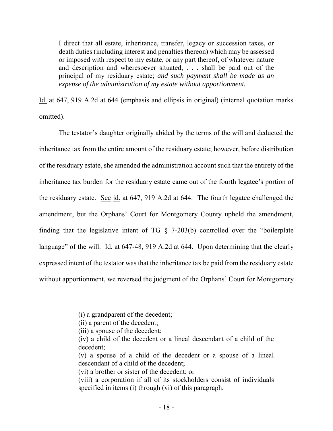I direct that all estate, inheritance, transfer, legacy or succession taxes, or death duties (including interest and penalties thereon) which may be assessed or imposed with respect to my estate, or any part thereof, of whatever nature and description and wheresoever situated, . . . shall be paid out of the principal of my residuary estate; *and such payment shall be made as an expense of the administration of my estate without apportionment.*

Id. at 647, 919 A.2d at 644 (emphasis and ellipsis in original) (internal quotation marks omitted).

The testator's daughter originally abided by the terms of the will and deducted the inheritance tax from the entire amount of the residuary estate; however, before distribution of the residuary estate, she amended the administration account such that the entirety of the inheritance tax burden for the residuary estate came out of the fourth legatee's portion of the residuary estate. See id. at 647, 919 A.2d at 644. The fourth legatee challenged the amendment, but the Orphans' Court for Montgomery County upheld the amendment, finding that the legislative intent of TG § 7-203(b) controlled over the "boilerplate language" of the will. Id. at 647-48, 919 A.2d at 644. Upon determining that the clearly expressed intent of the testator was that the inheritance tax be paid from the residuary estate without apportionment, we reversed the judgment of the Orphans' Court for Montgomery

 $\overline{a}$ 

<sup>(</sup>i) a grandparent of the decedent;

<sup>(</sup>ii) a parent of the decedent;

<sup>(</sup>iii) a spouse of the decedent;

<sup>(</sup>iv) a child of the decedent or a lineal descendant of a child of the decedent;

<sup>(</sup>v) a spouse of a child of the decedent or a spouse of a lineal descendant of a child of the decedent;

<sup>(</sup>vi) a brother or sister of the decedent; or

<sup>(</sup>viii) a corporation if all of its stockholders consist of individuals specified in items (i) through (vi) of this paragraph.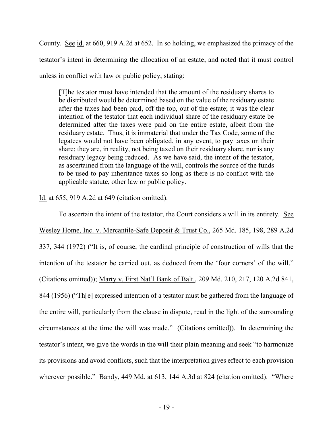County. See id. at 660, 919 A.2d at 652. In so holding, we emphasized the primacy of the testator's intent in determining the allocation of an estate, and noted that it must control unless in conflict with law or public policy, stating:

[T]he testator must have intended that the amount of the residuary shares to be distributed would be determined based on the value of the residuary estate after the taxes had been paid, off the top, out of the estate; it was the clear intention of the testator that each individual share of the residuary estate be determined after the taxes were paid on the entire estate, albeit from the residuary estate. Thus, it is immaterial that under the Tax Code, some of the legatees would not have been obligated, in any event, to pay taxes on their share; they are, in reality, not being taxed on their residuary share, nor is any residuary legacy being reduced. As we have said, the intent of the testator, as ascertained from the language of the will, controls the source of the funds to be used to pay inheritance taxes so long as there is no conflict with the applicable statute, other law or public policy.

Id. at 655, 919 A.2d at 649 (citation omitted).

To ascertain the intent of the testator, the Court considers a will in its entirety. See Wesley Home, Inc. v. Mercantile-Safe Deposit & Trust Co., 265 Md. 185, 198, 289 A.2d 337, 344 (1972) ("It is, of course, the cardinal principle of construction of wills that the intention of the testator be carried out, as deduced from the 'four corners' of the will." (Citations omitted)); Marty v. First Nat'l Bank of Balt., 209 Md. 210, 217, 120 A.2d 841, 844 (1956) ("Th[e] expressed intention of a testator must be gathered from the language of the entire will, particularly from the clause in dispute, read in the light of the surrounding circumstances at the time the will was made." (Citations omitted)). In determining the testator's intent, we give the words in the will their plain meaning and seek "to harmonize its provisions and avoid conflicts, such that the interpretation gives effect to each provision wherever possible." <u>Bandy</u>, 449 Md. at 613, 144 A.3d at 824 (citation omitted). "Where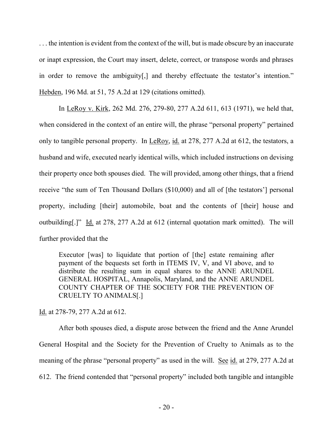. . . the intention is evident from the context of the will, but is made obscure by an inaccurate or inapt expression, the Court may insert, delete, correct, or transpose words and phrases in order to remove the ambiguity[,] and thereby effectuate the testator's intention." Hebden, 196 Md. at 51, 75 A.2d at 129 (citations omitted).

In LeRoy v. Kirk, 262 Md. 276, 279-80, 277 A.2d 611, 613 (1971), we held that, when considered in the context of an entire will, the phrase "personal property" pertained only to tangible personal property. In LeRoy, id. at 278, 277 A.2d at 612, the testators, a husband and wife, executed nearly identical wills, which included instructions on devising their property once both spouses died. The will provided, among other things, that a friend receive "the sum of Ten Thousand Dollars (\$10,000) and all of [the testators'] personal property, including [their] automobile, boat and the contents of [their] house and outbuilding[.]" Id. at 278, 277 A.2d at 612 (internal quotation mark omitted). The will further provided that the

Executor [was] to liquidate that portion of [the] estate remaining after payment of the bequests set forth in ITEMS IV, V, and VI above, and to distribute the resulting sum in equal shares to the ANNE ARUNDEL GENERAL HOSPITAL, Annapolis, Maryland, and the ANNE ARUNDEL COUNTY CHAPTER OF THE SOCIETY FOR THE PREVENTION OF CRUELTY TO ANIMALS[.]

Id. at 278-79, 277 A.2d at 612.

After both spouses died, a dispute arose between the friend and the Anne Arundel General Hospital and the Society for the Prevention of Cruelty to Animals as to the meaning of the phrase "personal property" as used in the will. See id. at 279, 277 A.2d at 612. The friend contended that "personal property" included both tangible and intangible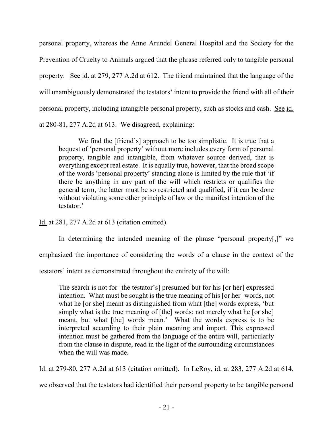personal property, whereas the Anne Arundel General Hospital and the Society for the Prevention of Cruelty to Animals argued that the phrase referred only to tangible personal property. See id. at 279, 277 A.2d at 612. The friend maintained that the language of the will unambiguously demonstrated the testators' intent to provide the friend with all of their personal property, including intangible personal property, such as stocks and cash. See id. at 280-81, 277 A.2d at 613. We disagreed, explaining:

We find the [friend's] approach to be too simplistic. It is true that a bequest of 'personal property' without more includes every form of personal property, tangible and intangible, from whatever source derived, that is everything except real estate. It is equally true, however, that the broad scope of the words 'personal property' standing alone is limited by the rule that 'if there be anything in any part of the will which restricts or qualifies the general term, the latter must be so restricted and qualified, if it can be done without violating some other principle of law or the manifest intention of the testator.'

Id. at 281, 277 A.2d at 613 (citation omitted).

In determining the intended meaning of the phrase "personal property[,]" we

emphasized the importance of considering the words of a clause in the context of the

testators' intent as demonstrated throughout the entirety of the will:

The search is not for [the testator's] presumed but for his [or her] expressed intention. What must be sought is the true meaning of his [or her] words, not what he [or she] meant as distinguished from what [the] words express, 'but simply what is the true meaning of [the] words; not merely what he [or she] meant, but what [the] words mean.' What the words express is to be interpreted according to their plain meaning and import. This expressed intention must be gathered from the language of the entire will, particularly from the clause in dispute, read in the light of the surrounding circumstances when the will was made.

Id. at 279-80, 277 A.2d at 613 (citation omitted). In LeRoy, id. at 283, 277 A.2d at 614,

we observed that the testators had identified their personal property to be tangible personal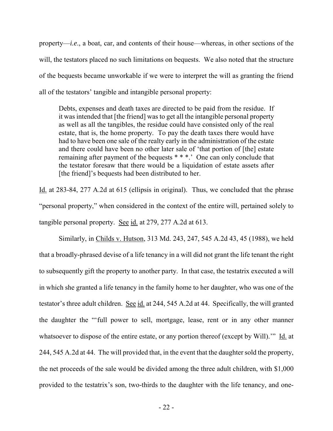property—*i.e*., a boat, car, and contents of their house—whereas, in other sections of the will, the testators placed no such limitations on bequests. We also noted that the structure of the bequests became unworkable if we were to interpret the will as granting the friend all of the testators' tangible and intangible personal property:

Debts, expenses and death taxes are directed to be paid from the residue. If it was intended that [the friend] was to get all the intangible personal property as well as all the tangibles, the residue could have consisted only of the real estate, that is, the home property. To pay the death taxes there would have had to have been one sale of the realty early in the administration of the estate and there could have been no other later sale of 'that portion of [the] estate remaining after payment of the bequests \* \* \*.' One can only conclude that the testator foresaw that there would be a liquidation of estate assets after [the friend]'s bequests had been distributed to her.

Id. at 283-84, 277 A.2d at 615 (ellipsis in original). Thus, we concluded that the phrase "personal property," when considered in the context of the entire will, pertained solely to tangible personal property. See id. at 279, 277 A.2d at 613.

 Similarly, in Childs v. Hutson, 313 Md. 243, 247, 545 A.2d 43, 45 (1988), we held that a broadly-phrased devise of a life tenancy in a will did not grant the life tenant the right to subsequently gift the property to another party. In that case, the testatrix executed a will in which she granted a life tenancy in the family home to her daughter, who was one of the testator's three adult children. See id. at 244, 545 A.2d at 44. Specifically, the will granted the daughter the "'full power to sell, mortgage, lease, rent or in any other manner whatsoever to dispose of the entire estate, or any portion thereof (except by Will)." Id. at 244, 545 A.2d at 44. The will provided that, in the event that the daughter sold the property, the net proceeds of the sale would be divided among the three adult children, with \$1,000 provided to the testatrix's son, two-thirds to the daughter with the life tenancy, and one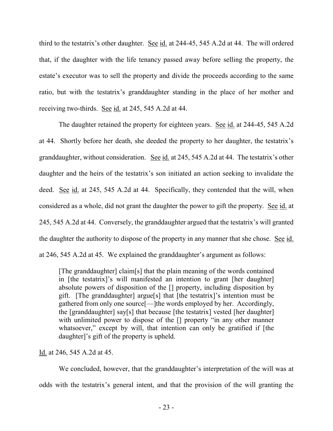third to the testatrix's other daughter. See id. at 244-45, 545 A.2d at 44. The will ordered that, if the daughter with the life tenancy passed away before selling the property, the estate's executor was to sell the property and divide the proceeds according to the same ratio, but with the testatrix's granddaughter standing in the place of her mother and receiving two-thirds. See id. at 245, 545 A.2d at 44.

 The daughter retained the property for eighteen years. See id. at 244-45, 545 A.2d at 44. Shortly before her death, she deeded the property to her daughter, the testatrix's granddaughter, without consideration. See id. at 245, 545 A.2d at 44. The testatrix's other daughter and the heirs of the testatrix's son initiated an action seeking to invalidate the deed. See id. at 245, 545 A.2d at 44. Specifically, they contended that the will, when considered as a whole, did not grant the daughter the power to gift the property. See id. at 245, 545 A.2d at 44. Conversely, the granddaughter argued that the testatrix's will granted the daughter the authority to dispose of the property in any manner that she chose. See id. at 246, 545 A.2d at 45. We explained the granddaughter's argument as follows:

[The granddaughter] claim[s] that the plain meaning of the words contained in [the testatrix]'s will manifested an intention to grant [her daughter] absolute powers of disposition of the [] property, including disposition by gift. [The granddaughter] argue[s] that [the testatrix]'s intention must be gathered from only one source[—]the words employed by her. Accordingly, the [granddaughter] say[s] that because [the testatrix] vested [her daughter] with unlimited power to dispose of the  $\lceil \rceil$  property "in any other manner whatsoever," except by will, that intention can only be gratified if [the daughter]'s gift of the property is upheld.

## Id. at 246, 545 A.2d at 45.

We concluded, however, that the granddaughter's interpretation of the will was at odds with the testatrix's general intent, and that the provision of the will granting the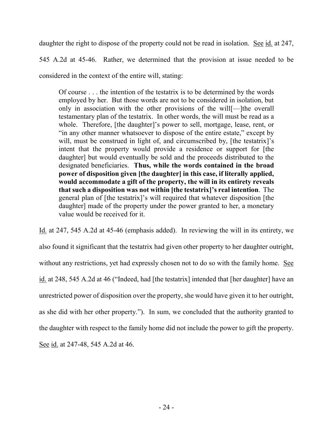daughter the right to dispose of the property could not be read in isolation. See id. at 247,

545 A.2d at 45-46. Rather, we determined that the provision at issue needed to be

considered in the context of the entire will, stating:

Of course . . . the intention of the testatrix is to be determined by the words employed by her. But those words are not to be considered in isolation, but only in association with the other provisions of the will[—]the overall testamentary plan of the testatrix. In other words, the will must be read as a whole. Therefore, [the daughter]'s power to sell, mortgage, lease, rent, or "in any other manner whatsoever to dispose of the entire estate," except by will, must be construed in light of, and circumscribed by, [the testatrix]'s intent that the property would provide a residence or support for [the daughter] but would eventually be sold and the proceeds distributed to the designated beneficiaries. **Thus, while the words contained in the broad power of disposition given [the daughter] in this case, if literally applied, would accommodate a gift of the property, the will in its entirety reveals that such a disposition was not within [the testatrix]'s real intention**. The general plan of [the testatrix]'s will required that whatever disposition [the daughter] made of the property under the power granted to her, a monetary value would be received for it.

Id. at 247, 545 A.2d at 45-46 (emphasis added). In reviewing the will in its entirety, we also found it significant that the testatrix had given other property to her daughter outright, without any restrictions, yet had expressly chosen not to do so with the family home. See id. at 248, 545 A.2d at 46 ("Indeed, had [the testatrix] intended that [her daughter] have an unrestricted power of disposition over the property, she would have given it to her outright, as she did with her other property."). In sum, we concluded that the authority granted to the daughter with respect to the family home did not include the power to gift the property. See id. at 247-48, 545 A.2d at 46.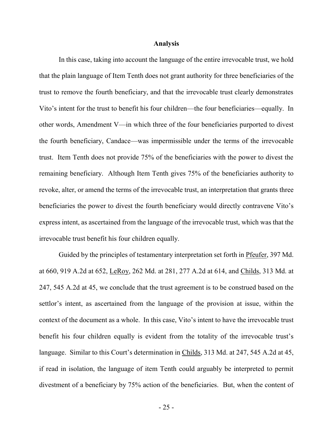#### **Analysis**

 In this case, taking into account the language of the entire irrevocable trust, we hold that the plain language of Item Tenth does not grant authority for three beneficiaries of the trust to remove the fourth beneficiary, and that the irrevocable trust clearly demonstrates Vito's intent for the trust to benefit his four children—the four beneficiaries—equally. In other words, Amendment V—in which three of the four beneficiaries purported to divest the fourth beneficiary, Candace—was impermissible under the terms of the irrevocable trust. Item Tenth does not provide 75% of the beneficiaries with the power to divest the remaining beneficiary. Although Item Tenth gives 75% of the beneficiaries authority to revoke, alter, or amend the terms of the irrevocable trust, an interpretation that grants three beneficiaries the power to divest the fourth beneficiary would directly contravene Vito's express intent, as ascertained from the language of the irrevocable trust, which was that the irrevocable trust benefit his four children equally.

Guided by the principles of testamentary interpretation set forth in Pfeufer, 397 Md. at 660, 919 A.2d at 652, LeRoy, 262 Md. at 281, 277 A.2d at 614, and Childs, 313 Md. at 247, 545 A.2d at 45, we conclude that the trust agreement is to be construed based on the settlor's intent, as ascertained from the language of the provision at issue, within the context of the document as a whole. In this case, Vito's intent to have the irrevocable trust benefit his four children equally is evident from the totality of the irrevocable trust's language. Similar to this Court's determination in Childs, 313 Md. at 247, 545 A.2d at 45, if read in isolation, the language of item Tenth could arguably be interpreted to permit divestment of a beneficiary by 75% action of the beneficiaries. But, when the content of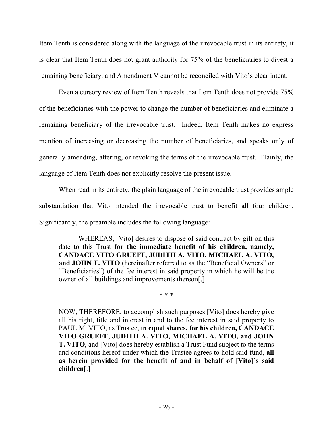Item Tenth is considered along with the language of the irrevocable trust in its entirety, it is clear that Item Tenth does not grant authority for 75% of the beneficiaries to divest a remaining beneficiary, and Amendment V cannot be reconciled with Vito's clear intent.

Even a cursory review of Item Tenth reveals that Item Tenth does not provide 75% of the beneficiaries with the power to change the number of beneficiaries and eliminate a remaining beneficiary of the irrevocable trust. Indeed, Item Tenth makes no express mention of increasing or decreasing the number of beneficiaries, and speaks only of generally amending, altering, or revoking the terms of the irrevocable trust. Plainly, the language of Item Tenth does not explicitly resolve the present issue.

When read in its entirety, the plain language of the irrevocable trust provides ample substantiation that Vito intended the irrevocable trust to benefit all four children. Significantly, the preamble includes the following language:

 WHEREAS, [Vito] desires to dispose of said contract by gift on this date to this Trust **for the immediate benefit of his children, namely, CANDACE VITO GRUEFF, JUDITH A. VITO, MICHAEL A. VITO, and JOHN T. VITO** (hereinafter referred to as the "Beneficial Owners" or "Beneficiaries") of the fee interest in said property in which he will be the owner of all buildings and improvements thereon[.]

\* \* \*

NOW, THEREFORE, to accomplish such purposes [Vito] does hereby give all his right, title and interest in and to the fee interest in said property to PAUL M. VITO, as Trustee, **in equal shares, for his children, CANDACE VITO GRUEFF, JUDITH A. VITO, MICHAEL A. VITO, and JOHN T. VITO**, and [Vito] does hereby establish a Trust Fund subject to the terms and conditions hereof under which the Trustee agrees to hold said fund, **all as herein provided for the benefit of and in behalf of [Vito]'s said children**[.]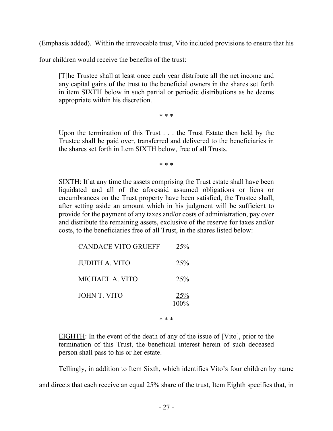(Emphasis added). Within the irrevocable trust, Vito included provisions to ensure that his

four children would receive the benefits of the trust:

[T]he Trustee shall at least once each year distribute all the net income and any capital gains of the trust to the beneficial owners in the shares set forth in item SIXTH below in such partial or periodic distributions as he deems appropriate within his discretion.

\* \* \*

Upon the termination of this Trust . . . the Trust Estate then held by the Trustee shall be paid over, transferred and delivered to the beneficiaries in the shares set forth in Item SIXTH below, free of all Trusts.

\* \* \*

SIXTH: If at any time the assets comprising the Trust estate shall have been liquidated and all of the aforesaid assumed obligations or liens or encumbrances on the Trust property have been satisfied, the Trustee shall, after setting aside an amount which in his judgment will be sufficient to provide for the payment of any taxes and/or costs of administration, pay over and distribute the remaining assets, exclusive of the reserve for taxes and/or costs, to the beneficiaries free of all Trust, in the shares listed below:

| <b>CANDACE VITO GRUEFF</b> | 25%            |
|----------------------------|----------------|
| <b>JUDITH A. VITO</b>      | 25%            |
| MICHAEL A. VITO            | 25%            |
| <b>JOHN T. VITO</b>        | 25%<br>$100\%$ |

\* \* \*

EIGHTH: In the event of the death of any of the issue of [Vito], prior to the termination of this Trust, the beneficial interest herein of such deceased person shall pass to his or her estate.

Tellingly, in addition to Item Sixth, which identifies Vito's four children by name and directs that each receive an equal 25% share of the trust, Item Eighth specifies that, in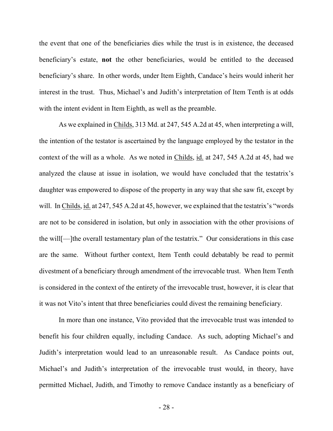the event that one of the beneficiaries dies while the trust is in existence, the deceased beneficiary's estate, **not** the other beneficiaries, would be entitled to the deceased beneficiary's share. In other words, under Item Eighth, Candace's heirs would inherit her interest in the trust. Thus, Michael's and Judith's interpretation of Item Tenth is at odds with the intent evident in Item Eighth, as well as the preamble.

 As we explained in Childs, 313 Md. at 247, 545 A.2d at 45, when interpreting a will, the intention of the testator is ascertained by the language employed by the testator in the context of the will as a whole. As we noted in Childs, id. at 247, 545 A.2d at 45, had we analyzed the clause at issue in isolation, we would have concluded that the testatrix's daughter was empowered to dispose of the property in any way that she saw fit, except by will. In Childs, id. at 247, 545 A.2d at 45, however, we explained that the testatrix's "words" are not to be considered in isolation, but only in association with the other provisions of the will[—]the overall testamentary plan of the testatrix." Our considerations in this case are the same. Without further context, Item Tenth could debatably be read to permit divestment of a beneficiary through amendment of the irrevocable trust. When Item Tenth is considered in the context of the entirety of the irrevocable trust, however, it is clear that it was not Vito's intent that three beneficiaries could divest the remaining beneficiary.

In more than one instance, Vito provided that the irrevocable trust was intended to benefit his four children equally, including Candace. As such, adopting Michael's and Judith's interpretation would lead to an unreasonable result. As Candace points out, Michael's and Judith's interpretation of the irrevocable trust would, in theory, have permitted Michael, Judith, and Timothy to remove Candace instantly as a beneficiary of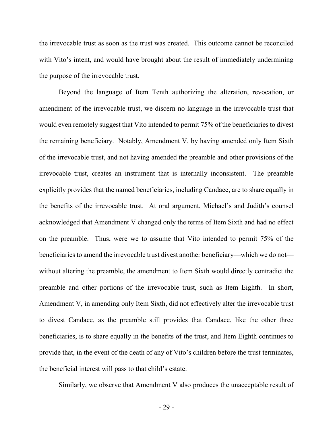the irrevocable trust as soon as the trust was created. This outcome cannot be reconciled with Vito's intent, and would have brought about the result of immediately undermining the purpose of the irrevocable trust.

Beyond the language of Item Tenth authorizing the alteration, revocation, or amendment of the irrevocable trust, we discern no language in the irrevocable trust that would even remotely suggest that Vito intended to permit 75% of the beneficiaries to divest the remaining beneficiary. Notably, Amendment V, by having amended only Item Sixth of the irrevocable trust, and not having amended the preamble and other provisions of the irrevocable trust, creates an instrument that is internally inconsistent. The preamble explicitly provides that the named beneficiaries, including Candace, are to share equally in the benefits of the irrevocable trust. At oral argument, Michael's and Judith's counsel acknowledged that Amendment V changed only the terms of Item Sixth and had no effect on the preamble. Thus, were we to assume that Vito intended to permit 75% of the beneficiaries to amend the irrevocable trust divest another beneficiary—which we do not without altering the preamble, the amendment to Item Sixth would directly contradict the preamble and other portions of the irrevocable trust, such as Item Eighth. In short, Amendment V, in amending only Item Sixth, did not effectively alter the irrevocable trust to divest Candace, as the preamble still provides that Candace, like the other three beneficiaries, is to share equally in the benefits of the trust, and Item Eighth continues to provide that, in the event of the death of any of Vito's children before the trust terminates, the beneficial interest will pass to that child's estate.

Similarly, we observe that Amendment V also produces the unacceptable result of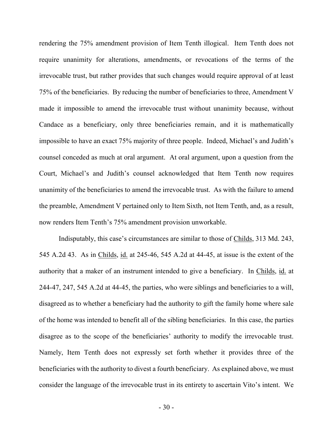rendering the 75% amendment provision of Item Tenth illogical. Item Tenth does not require unanimity for alterations, amendments, or revocations of the terms of the irrevocable trust, but rather provides that such changes would require approval of at least 75% of the beneficiaries. By reducing the number of beneficiaries to three, Amendment V made it impossible to amend the irrevocable trust without unanimity because, without Candace as a beneficiary, only three beneficiaries remain, and it is mathematically impossible to have an exact 75% majority of three people. Indeed, Michael's and Judith's counsel conceded as much at oral argument.At oral argument, upon a question from the Court, Michael's and Judith's counsel acknowledged that Item Tenth now requires unanimity of the beneficiaries to amend the irrevocable trust. As with the failure to amend the preamble, Amendment V pertained only to Item Sixth, not Item Tenth, and, as a result, now renders Item Tenth's 75% amendment provision unworkable.

Indisputably, this case's circumstances are similar to those of Childs, 313 Md. 243, 545 A.2d 43. As in Childs, id. at 245-46, 545 A.2d at 44-45, at issue is the extent of the authority that a maker of an instrument intended to give a beneficiary. In Childs, id. at 244-47, 247, 545 A.2d at 44-45, the parties, who were siblings and beneficiaries to a will, disagreed as to whether a beneficiary had the authority to gift the family home where sale of the home was intended to benefit all of the sibling beneficiaries. In this case, the parties disagree as to the scope of the beneficiaries' authority to modify the irrevocable trust. Namely, Item Tenth does not expressly set forth whether it provides three of the beneficiaries with the authority to divest a fourth beneficiary. As explained above, we must consider the language of the irrevocable trust in its entirety to ascertain Vito's intent. We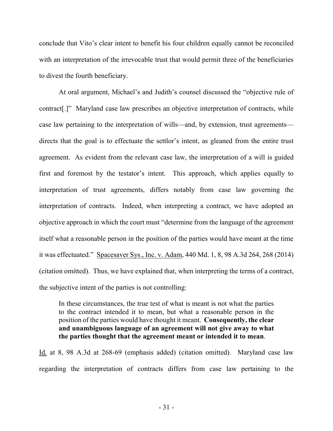conclude that Vito's clear intent to benefit his four children equally cannot be reconciled with an interpretation of the irrevocable trust that would permit three of the beneficiaries to divest the fourth beneficiary.

At oral argument, Michael's and Judith's counsel discussed the "objective rule of contract[.]" Maryland case law prescribes an objective interpretation of contracts, while case law pertaining to the interpretation of wills—and, by extension, trust agreements directs that the goal is to effectuate the settlor's intent, as gleaned from the entire trust agreement. As evident from the relevant case law, the interpretation of a will is guided first and foremost by the testator's intent. This approach, which applies equally to interpretation of trust agreements, differs notably from case law governing the interpretation of contracts. Indeed, when interpreting a contract, we have adopted an objective approach in which the court must "determine from the language of the agreement itself what a reasonable person in the position of the parties would have meant at the time it was effectuated." Spacesaver Sys., Inc. v. Adam, 440 Md. 1, 8, 98 A.3d 264, 268 (2014) (citation omitted). Thus, we have explained that, when interpreting the terms of a contract, the subjective intent of the parties is not controlling:

In these circumstances, the true test of what is meant is not what the parties to the contract intended it to mean, but what a reasonable person in the position of the parties would have thought it meant. **Consequently, the clear and unambiguous language of an agreement will not give away to what the parties thought that the agreement meant or intended it to mean**.

Id. at 8, 98 A.3d at 268-69 (emphasis added) (citation omitted). Maryland case law regarding the interpretation of contracts differs from case law pertaining to the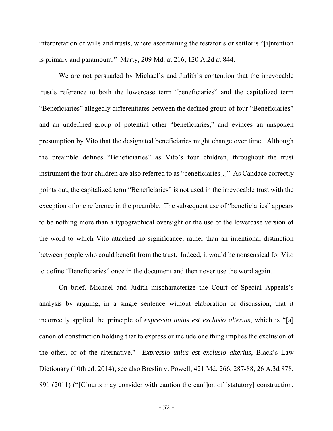interpretation of wills and trusts, where ascertaining the testator's or settlor's "[i]ntention is primary and paramount." Marty, 209 Md. at 216, 120 A.2d at 844.

 We are not persuaded by Michael's and Judith's contention that the irrevocable trust's reference to both the lowercase term "beneficiaries" and the capitalized term "Beneficiaries" allegedly differentiates between the defined group of four "Beneficiaries" and an undefined group of potential other "beneficiaries," and evinces an unspoken presumption by Vito that the designated beneficiaries might change over time. Although the preamble defines "Beneficiaries" as Vito's four children, throughout the trust instrument the four children are also referred to as "beneficiaries[.]" As Candace correctly points out, the capitalized term "Beneficiaries" is not used in the irrevocable trust with the exception of one reference in the preamble. The subsequent use of "beneficiaries" appears to be nothing more than a typographical oversight or the use of the lowercase version of the word to which Vito attached no significance, rather than an intentional distinction between people who could benefit from the trust. Indeed, it would be nonsensical for Vito to define "Beneficiaries" once in the document and then never use the word again.

On brief, Michael and Judith mischaracterize the Court of Special Appeals's analysis by arguing, in a single sentence without elaboration or discussion, that it incorrectly applied the principle of *expressio unius est exclusio alterius*, which is "[a] canon of construction holding that to express or include one thing implies the exclusion of the other, or of the alternative." *Expressio unius est exclusio alterius*, Black's Law Dictionary (10th ed. 2014); see also Breslin v. Powell, 421 Md. 266, 287-88, 26 A.3d 878, 891 (2011) ("[C]ourts may consider with caution the can<sup>[]</sup>on of [statutory] construction,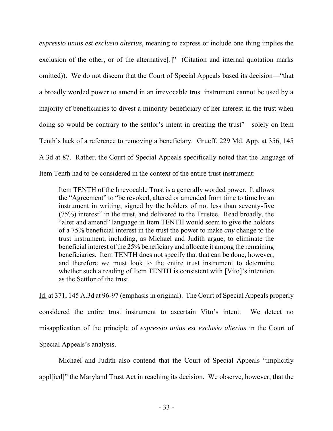*expressio unius est exclusio alterius*, meaning to express or include one thing implies the exclusion of the other, or of the alternative<sup>[.]"</sup> (Citation and internal quotation marks omitted)). We do not discern that the Court of Special Appeals based its decision—"that a broadly worded power to amend in an irrevocable trust instrument cannot be used by a majority of beneficiaries to divest a minority beneficiary of her interest in the trust when doing so would be contrary to the settlor's intent in creating the trust"—solely on Item Tenth's lack of a reference to removing a beneficiary. Grueff, 229 Md. App. at 356, 145 A.3d at 87. Rather, the Court of Special Appeals specifically noted that the language of Item Tenth had to be considered in the context of the entire trust instrument:

Item TENTH of the Irrevocable Trust is a generally worded power. It allows the "Agreement" to "be revoked, altered or amended from time to time by an instrument in writing, signed by the holders of not less than seventy-five (75%) interest" in the trust, and delivered to the Trustee. Read broadly, the "alter and amend" language in Item TENTH would seem to give the holders of a 75% beneficial interest in the trust the power to make *any* change to the trust instrument, including, as Michael and Judith argue, to eliminate the beneficial interest of the 25% beneficiary and allocate it among the remaining beneficiaries. Item TENTH does not specify that that can be done, however, and therefore we must look to the entire trust instrument to determine whether such a reading of Item TENTH is consistent with [Vito]'s intention as the Settlor of the trust.

Id. at 371, 145 A.3d at 96-97 (emphasis in original). The Court of Special Appeals properly considered the entire trust instrument to ascertain Vito's intent. We detect no misapplication of the principle of *expressio unius est exclusio alterius* in the Court of Special Appeals's analysis.

Michael and Judith also contend that the Court of Special Appeals "implicitly appl[ied]" the Maryland Trust Act in reaching its decision.We observe, however, that the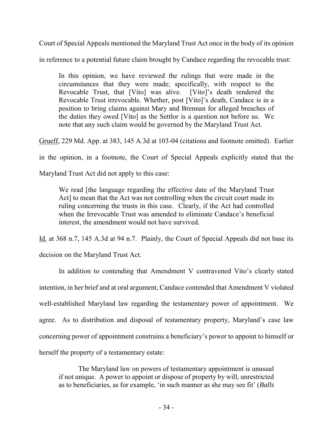Court of Special Appeals mentioned the Maryland Trust Act once in the body of its opinion

in reference to a potential future claim brought by Candace regarding the revocable trust:

In this opinion, we have reviewed the rulings that were made in the circumstances that they were made; specifically, with respect to the Revocable Trust, that [Vito] was alive. [Vito]'s death rendered the Revocable Trust irrevocable. Whether, post [Vito]'s death, Candace is in a position to bring claims against Mary and Brennan for alleged breaches of the duties they owed [Vito] as the Settlor is a question not before us. We note that any such claim would be governed by the Maryland Trust Act.

Grueff, 229 Md. App. at 383, 145 A.3d at 103-04 (citations and footnote omitted). Earlier

in the opinion, in a footnote, the Court of Special Appeals explicitly stated that the

Maryland Trust Act did not apply to this case:

We read [the language regarding the effective date of the Maryland Trust Act] to mean that the Act was not controlling when the circuit court made its ruling concerning the trusts in this case. Clearly, if the Act had controlled when the Irrevocable Trust was amended to eliminate Candace's beneficial interest, the amendment would not have survived.

Id. at 368 n.7, 145 A.3d at 94 n.7. Plainly, the Court of Special Appeals did not base its

decision on the Maryland Trust Act.

In addition to contending that Amendment V contravened Vito's clearly stated intention, in her brief and at oral argument, Candace contended that Amendment V violated well-established Maryland law regarding the testamentary power of appointment. We agree. As to distribution and disposal of testamentary property, Maryland's case law concerning power of appointment constrains a beneficiary's power to appoint to himself or herself the property of a testamentary estate:

The Maryland law on powers of testamentary appointment is unusual if not unique. A power to appoint or dispose of property by will, unrestricted as to beneficiaries, as for example, 'in such manner as she may see fit' (*Balls*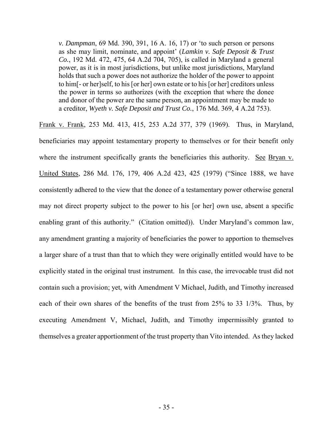*v. Dampman*, 69 Md. 390, 391, 16 A. 16, 17) or 'to such person or persons as she may limit, nominate, and appoint' (*Lamkin v. Safe Deposit & Trust Co.*, 192 Md. 472, 475, 64 A.2d 704, 705), is called in Maryland a general power, as it is in most jurisdictions, but unlike most jurisdictions, Maryland holds that such a power does not authorize the holder of the power to appoint to him[- or her]self, to his [or her] own estate or to his [or her] creditors unless the power in terms so authorizes (with the exception that where the donee and donor of the power are the same person, an appointment may be made to a creditor, *Wyeth v. Safe Deposit and Trust Co.*, 176 Md. 369, 4 A.2d 753).

Frank v. Frank, 253 Md. 413, 415, 253 A.2d 377, 379 (1969). Thus, in Maryland, beneficiaries may appoint testamentary property to themselves or for their benefit only where the instrument specifically grants the beneficiaries this authority. See Bryan v. United States, 286 Md. 176, 179, 406 A.2d 423, 425 (1979) ("Since 1888, we have consistently adhered to the view that the donee of a testamentary power otherwise general may not direct property subject to the power to his [or her] own use, absent a specific enabling grant of this authority." (Citation omitted)). Under Maryland's common law, any amendment granting a majority of beneficiaries the power to apportion to themselves a larger share of a trust than that to which they were originally entitled would have to be explicitly stated in the original trust instrument. In this case, the irrevocable trust did not contain such a provision; yet, with Amendment V Michael, Judith, and Timothy increased each of their own shares of the benefits of the trust from 25% to 33 1/3%. Thus, by executing Amendment V, Michael, Judith, and Timothy impermissibly granted to themselves a greater apportionment of the trust property than Vito intended. As they lacked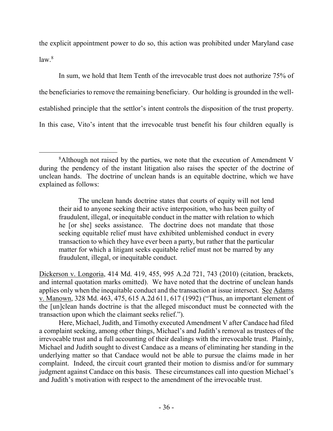the explicit appointment power to do so, this action was prohibited under Maryland case  $law.<sup>8</sup>$ 

In sum, we hold that Item Tenth of the irrevocable trust does not authorize 75% of the beneficiaries to remove the remaining beneficiary. Our holding is grounded in the wellestablished principle that the settlor's intent controls the disposition of the trust property. In this case, Vito's intent that the irrevocable trust benefit his four children equally is

Dickerson v. Longoria, 414 Md. 419, 455, 995 A.2d 721, 743 (2010) (citation, brackets, and internal quotation marks omitted). We have noted that the doctrine of unclean hands applies only when the inequitable conduct and the transaction at issue intersect. See Adams v. Manown, 328 Md. 463, 475, 615 A.2d 611, 617 (1992) ("Thus, an important element of the [un]clean hands doctrine is that the alleged misconduct must be connected with the transaction upon which the claimant seeks relief.").

Here, Michael, Judith, and Timothy executed Amendment V after Candace had filed a complaint seeking, among other things, Michael's and Judith's removal as trustees of the irrevocable trust and a full accounting of their dealings with the irrevocable trust. Plainly, Michael and Judith sought to divest Candace as a means of eliminating her standing in the underlying matter so that Candace would not be able to pursue the claims made in her complaint. Indeed, the circuit court granted their motion to dismiss and/or for summary judgment against Candace on this basis. These circumstances call into question Michael's and Judith's motivation with respect to the amendment of the irrevocable trust.

 $\overline{a}$ <sup>8</sup>Although not raised by the parties, we note that the execution of Amendment V during the pendency of the instant litigation also raises the specter of the doctrine of unclean hands. The doctrine of unclean hands is an equitable doctrine, which we have explained as follows:

The unclean hands doctrine states that courts of equity will not lend their aid to anyone seeking their active interposition, who has been guilty of fraudulent, illegal, or inequitable conduct in the matter with relation to which he [or she] seeks assistance. The doctrine does not mandate that those seeking equitable relief must have exhibited unblemished conduct in every transaction to which they have ever been a party, but rather that the particular matter for which a litigant seeks equitable relief must not be marred by any fraudulent, illegal, or inequitable conduct.